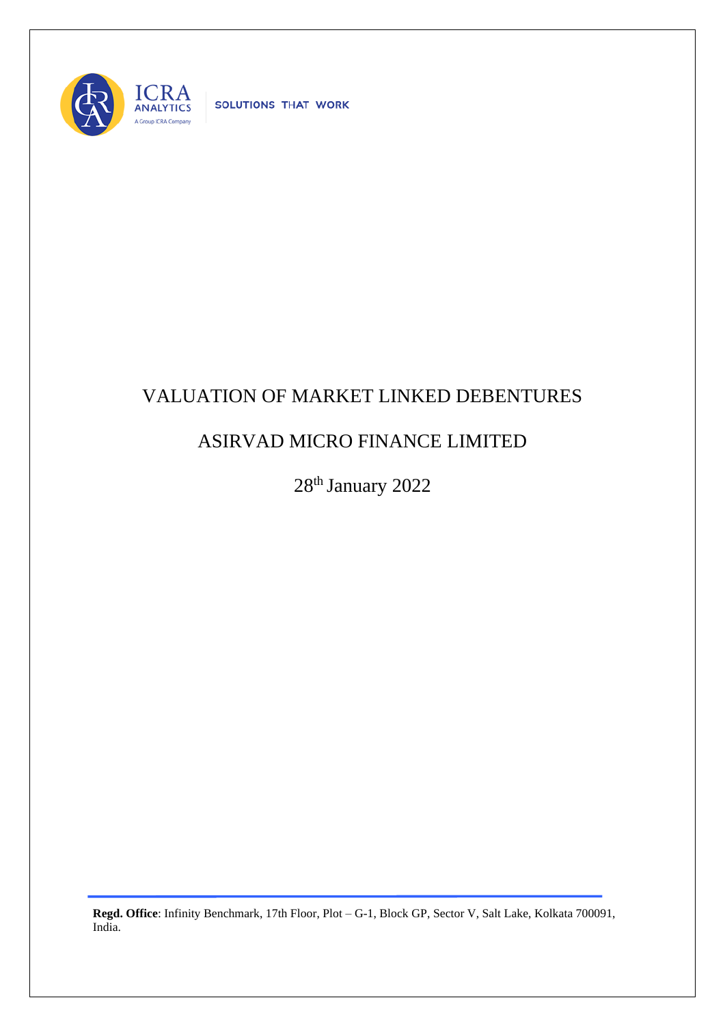

SOLUTIONS THAT WORK

## VALUATION OF MARKET LINKED DEBENTURES

## ASIRVAD MICRO FINANCE LIMITED

28<sup>th</sup> January 2022

**Regd. Office**: Infinity Benchmark, 17th Floor, Plot – G-1, Block GP, Sector V, Salt Lake, Kolkata 700091, India.